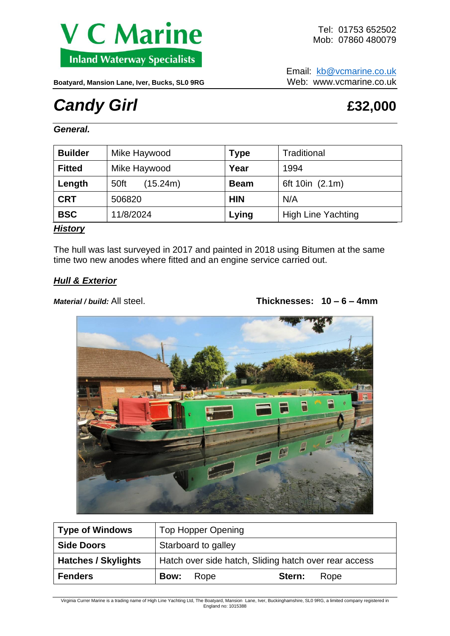

Email: [kb@vcmarine.co.uk](mailto:kb@vcmarine.co.uk)

Boatyard, Mansion Lane, Iver, Bucks, SL0 9RG<br>Web: www.vcmarine.co.uk

# *Candy Girl E32,000*

*General.*

| <b>Builder</b> | Mike Haywood     | <b>Type</b> | Traditional               |
|----------------|------------------|-------------|---------------------------|
| <b>Fitted</b>  | Mike Haywood     | Year        | 1994                      |
| Length         | (15.24m)<br>50ft | <b>Beam</b> | 6ft 10in (2.1m)           |
| <b>CRT</b>     | 506820           | <b>HIN</b>  | N/A                       |
| <b>BSC</b>     | 11/8/2024        | Lying       | <b>High Line Yachting</b> |

## *History*

The hull was last surveyed in 2017 and painted in 2018 using Bitumen at the same time two new anodes where fitted and an engine service carried out.

# *Hull & Exterior*

*Material / build:* All steel. **Thicknesses: 10 – 6 – 4mm**



| Type of Windows            | <b>Top Hopper Opening</b>                             |  |  |  |
|----------------------------|-------------------------------------------------------|--|--|--|
| <b>Side Doors</b>          | Starboard to galley                                   |  |  |  |
| <b>Hatches / Skylights</b> | Hatch over side hatch, Sliding hatch over rear access |  |  |  |
| <b>Fenders</b>             | Stern:<br>Rope<br><b>Bow:</b><br>Rope                 |  |  |  |

Virginia Currer Marine is a trading name of High Line Yachting Ltd, The Boatyard, Mansion Lane, Iver, Buckinghamshire, SL0 9RG, a limited company registered in England no: 1015388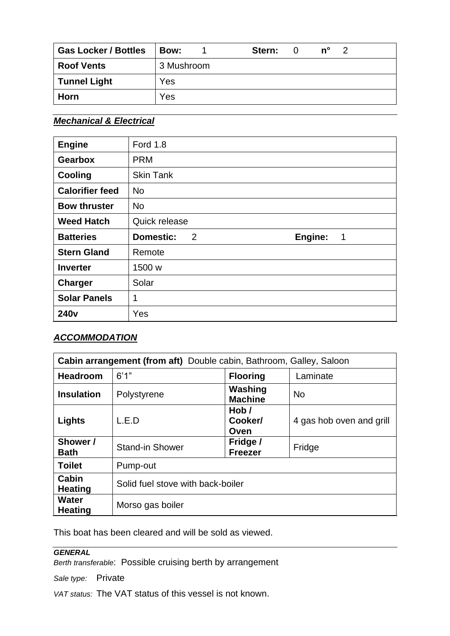| <b>Gas Locker / Bottles</b> | Bow:       | Stern: | $n^{\circ}$ | -2 |  |
|-----------------------------|------------|--------|-------------|----|--|
| <b>Roof Vents</b>           | 3 Mushroom |        |             |    |  |
| <b>Tunnel Light</b>         | Yes        |        |             |    |  |
| Horn                        | Yes        |        |             |    |  |

# *Mechanical & Electrical*

| <b>Engine</b>          | <b>Ford 1.8</b>                       |
|------------------------|---------------------------------------|
| <b>Gearbox</b>         | <b>PRM</b>                            |
| <b>Cooling</b>         | <b>Skin Tank</b>                      |
| <b>Calorifier feed</b> | <b>No</b>                             |
| <b>Bow thruster</b>    | <b>No</b>                             |
| <b>Weed Hatch</b>      | Quick release                         |
|                        |                                       |
| <b>Batteries</b>       | <b>Domestic:</b><br>2<br>Engine:<br>1 |
| <b>Stern Gland</b>     | Remote                                |
| <b>Inverter</b>        | 1500 w                                |
| <b>Charger</b>         | Solar                                 |
| <b>Solar Panels</b>    | 1                                     |

# *ACCOMMODATION*

| <b>Cabin arrangement (from aft)</b> Double cabin, Bathroom, Galley, Saloon |                                   |                            |                          |  |  |  |
|----------------------------------------------------------------------------|-----------------------------------|----------------------------|--------------------------|--|--|--|
| <b>Headroom</b>                                                            | 6'1''                             | <b>Flooring</b>            | Laminate                 |  |  |  |
| <b>Insulation</b>                                                          | Polystyrene                       | Washing<br><b>Machine</b>  | <b>No</b>                |  |  |  |
| Lights                                                                     | L.E.D                             | Hob/<br>Cooker/<br>Oven    | 4 gas hob oven and grill |  |  |  |
| Shower /<br><b>Bath</b>                                                    | <b>Stand-in Shower</b>            | Fridge /<br><b>Freezer</b> | Fridge                   |  |  |  |
| <b>Toilet</b>                                                              | Pump-out                          |                            |                          |  |  |  |
| Cabin<br><b>Heating</b>                                                    | Solid fuel stove with back-boiler |                            |                          |  |  |  |
| <b>Water</b><br><b>Heating</b>                                             | Morso gas boiler                  |                            |                          |  |  |  |

This boat has been cleared and will be sold as viewed.

## *GENERAL*

*Berth transferable*: Possible cruising berth by arrangement

*Sale type:* Private

*VAT status:* The VAT status of this vessel is not known.